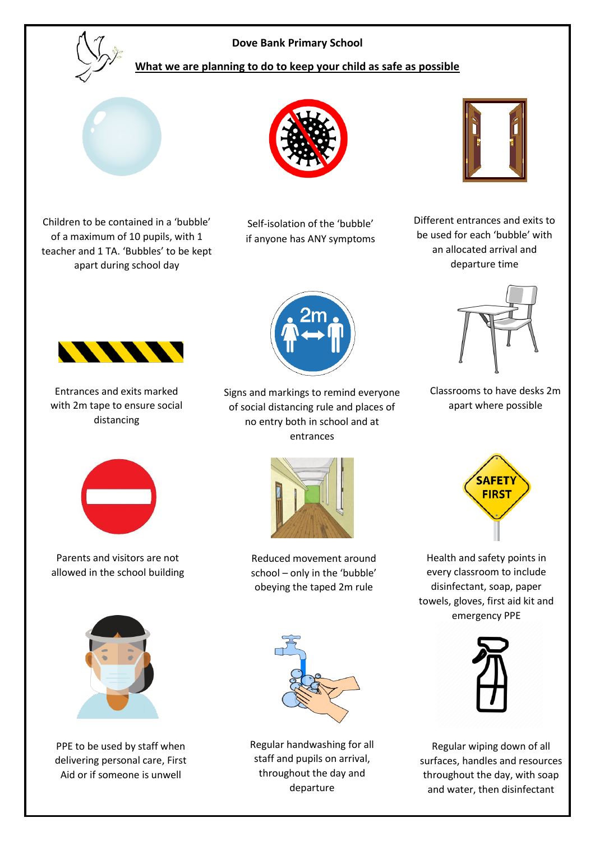

## **Dove Bank Primary School**

## **What we are planning to do to keep your child as safe as possible**



Children to be contained in a 'bubble' of a maximum of 10 pupils, with 1 teacher and 1 TA. 'Bubbles' to be kept apart during school day



Self-isolation of the 'bubble' if anyone has ANY symptoms



Different entrances and exits to be used for each 'bubble' with an allocated arrival and departure time



Classrooms to have desks 2m apart where possible



Entrances and exits marked with 2m tape to ensure social

**ANNA** 

Parents and visitors are not allowed in the school building



Reduced movement around school – only in the 'bubble' obeying the taped 2m rule



PPE to be used by staff when delivering personal care, First Aid or if someone is unwell



Regular handwashing for all staff and pupils on arrival, throughout the day and departure



Health and safety points in every classroom to include disinfectant, soap, paper towels, gloves, first aid kit and emergency PPE



Regular wiping down of all surfaces, handles and resources throughout the day, with soap and water, then disinfectant



Signs and markings to remind everyone of social distancing rule and places of no entry both in school and at entrances